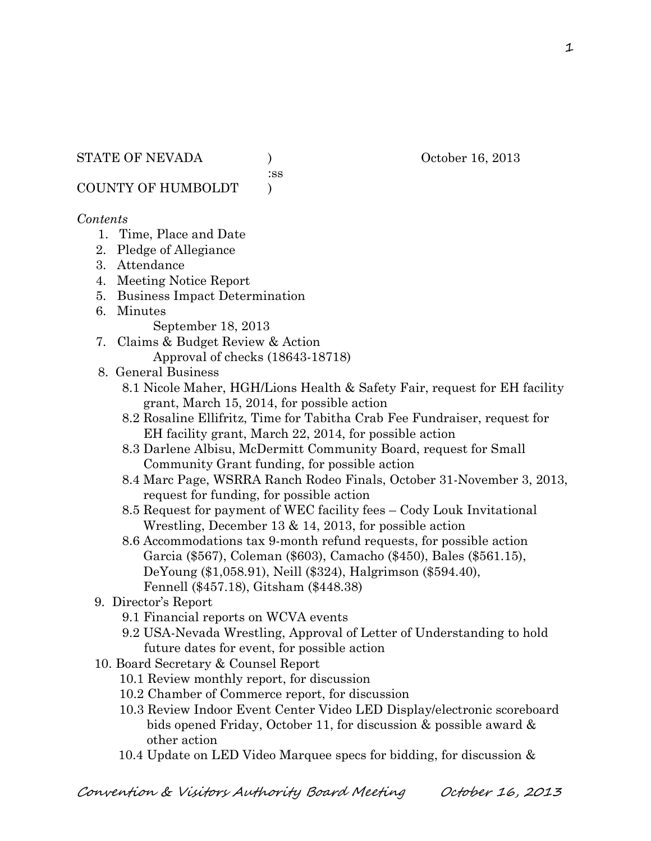:ss

COUNTY OF HUMBOLDT )

# *Contents*

- 1. Time, Place and Date
- 2. Pledge of Allegiance
- 3. Attendance
- 4. Meeting Notice Report
- 5. Business Impact Determination
- 6. Minutes

September 18, 2013

- 7. Claims & Budget Review & Action Approval of checks (18643-18718)
- 8. General Business
	- 8.1 Nicole Maher, HGH/Lions Health & Safety Fair, request for EH facility grant, March 15, 2014, for possible action
	- 8.2 Rosaline Ellifritz, Time for Tabitha Crab Fee Fundraiser, request for EH facility grant, March 22, 2014, for possible action
	- 8.3 Darlene Albisu, McDermitt Community Board, request for Small Community Grant funding, for possible action
	- 8.4 Marc Page, WSRRA Ranch Rodeo Finals, October 31-November 3, 2013, request for funding, for possible action
	- 8.5 Request for payment of WEC facility fees Cody Louk Invitational Wrestling, December 13 & 14, 2013, for possible action
	- 8.6 Accommodations tax 9-month refund requests, for possible action Garcia (\$567), Coleman (\$603), Camacho (\$450), Bales (\$561.15), DeYoung (\$1,058.91), Neill (\$324), Halgrimson (\$594.40), Fennell (\$457.18), Gitsham (\$448.38)

# 9. Director's Report

- 9.1 Financial reports on WCVA events
- 9.2 USA-Nevada Wrestling, Approval of Letter of Understanding to hold future dates for event, for possible action
- 10. Board Secretary & Counsel Report
	- 10.1 Review monthly report, for discussion
	- 10.2 Chamber of Commerce report, for discussion
	- 10.3 Review Indoor Event Center Video LED Display/electronic scoreboard bids opened Friday, October 11, for discussion & possible award & other action
	- 10.4 Update on LED Video Marquee specs for bidding, for discussion &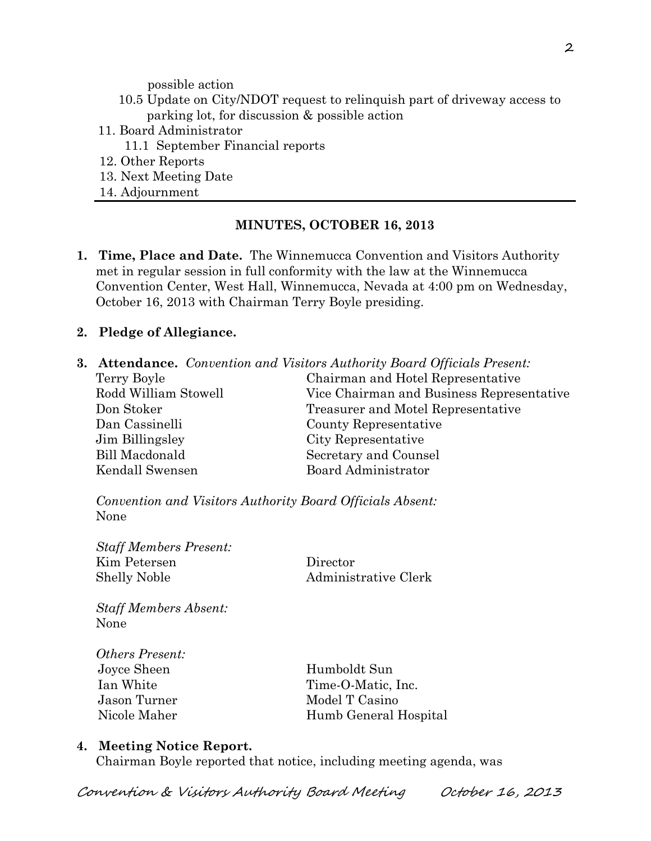possible action

- 10.5 Update on City/NDOT request to relinquish part of driveway access to parking lot, for discussion & possible action
- 11. Board Administrator
	- 11.1 September Financial reports
- 12. Other Reports
- 13. Next Meeting Date
- 14. Adjournment

# **MINUTES, OCTOBER 16, 2013**

**1. Time, Place and Date.** The Winnemucca Convention and Visitors Authority met in regular session in full conformity with the law at the Winnemucca Convention Center, West Hall, Winnemucca, Nevada at 4:00 pm on Wednesday, October 16, 2013 with Chairman Terry Boyle presiding.

# **2. Pledge of Allegiance.**

**3. Attendance.** *Convention and Visitors Authority Board Officials Present:*

| Terry Boyle          | Chairman and Hotel Representative         |  |
|----------------------|-------------------------------------------|--|
| Rodd William Stowell | Vice Chairman and Business Representative |  |
| Don Stoker           | Treasurer and Motel Representative        |  |
| Dan Cassinelli       | County Representative                     |  |
| Jim Billingsley      | City Representative                       |  |
| Bill Macdonald       | Secretary and Counsel                     |  |
| Kendall Swensen      | Board Administrator                       |  |

*Convention and Visitors Authority Board Officials Absent:* None

*Staff Members Present:* Kim Petersen Director Shelly Noble Administrative Clerk

*Staff Members Absent:* None

*Others Present:* Joyce Sheen Humboldt Sun

Ian White Time-O-Matic, Inc. Jason Turner Model T Casino Nicole Maher Humb General Hospital

#### **4. Meeting Notice Report.**

Chairman Boyle reported that notice, including meeting agenda, was

Convention & Visitors Authority Board Meeting October 16, 2013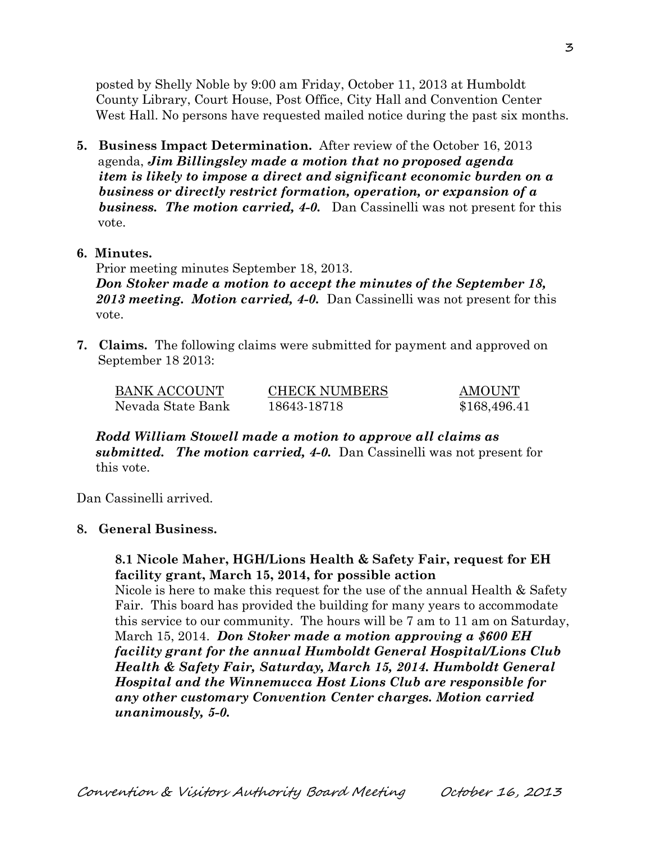posted by Shelly Noble by 9:00 am Friday, October 11, 2013 at Humboldt County Library, Court House, Post Office, City Hall and Convention Center West Hall. No persons have requested mailed notice during the past six months.

- **5. Business Impact Determination.** After review of the October 16, 2013 agenda, *Jim Billingsley made a motion that no proposed agenda item is likely to impose a direct and significant economic burden on a business or directly restrict formation, operation, or expansion of a business. The motion carried, 4-0.* Dan Cassinelli was not present for this vote.
- **6. Minutes.**

Prior meeting minutes September 18, 2013.

*Don Stoker made a motion to accept the minutes of the September 18, 2013 meeting. Motion carried, 4-0.* Dan Cassinelli was not present for this vote.

**7. Claims.** The following claims were submitted for payment and approved on September 18 2013:

| BANK ACCOUNT      | <b>CHECK NUMBERS</b> | <b>AMOUNT</b> |
|-------------------|----------------------|---------------|
| Nevada State Bank | 18643-18718          | \$168,496.41  |

*Rodd William Stowell made a motion to approve all claims as submitted. The motion carried, 4-0.* Dan Cassinelli was not present for this vote.

Dan Cassinelli arrived.

# **8. General Business.**

# **8.1 Nicole Maher, HGH/Lions Health & Safety Fair, request for EH facility grant, March 15, 2014, for possible action**

Nicole is here to make this request for the use of the annual Health & Safety Fair. This board has provided the building for many years to accommodate this service to our community. The hours will be 7 am to 11 am on Saturday, March 15, 2014. *Don Stoker made a motion approving a \$600 EH facility grant for the annual Humboldt General Hospital/Lions Club Health & Safety Fair, Saturday, March 15, 2014. Humboldt General Hospital and the Winnemucca Host Lions Club are responsible for any other customary Convention Center charges. Motion carried unanimously, 5-0.*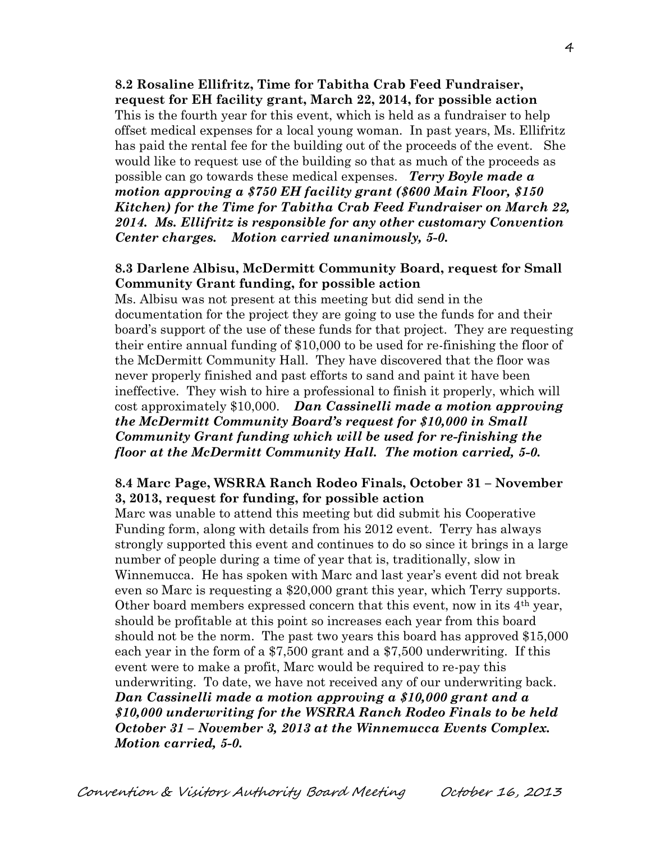**8.2 Rosaline Ellifritz, Time for Tabitha Crab Feed Fundraiser, request for EH facility grant, March 22, 2014, for possible action** This is the fourth year for this event, which is held as a fundraiser to help offset medical expenses for a local young woman. In past years, Ms. Ellifritz has paid the rental fee for the building out of the proceeds of the event. She would like to request use of the building so that as much of the proceeds as possible can go towards these medical expenses. *Terry Boyle made a motion approving a \$750 EH facility grant (\$600 Main Floor, \$150 Kitchen) for the Time for Tabitha Crab Feed Fundraiser on March 22, 2014. Ms. Ellifritz is responsible for any other customary Convention Center charges. Motion carried unanimously, 5-0.*

# **8.3 Darlene Albisu, McDermitt Community Board, request for Small Community Grant funding, for possible action**

Ms. Albisu was not present at this meeting but did send in the documentation for the project they are going to use the funds for and their board's support of the use of these funds for that project. They are requesting their entire annual funding of \$10,000 to be used for re-finishing the floor of the McDermitt Community Hall. They have discovered that the floor was never properly finished and past efforts to sand and paint it have been ineffective. They wish to hire a professional to finish it properly, which will cost approximately \$10,000. *Dan Cassinelli made a motion approving the McDermitt Community Board's request for \$10,000 in Small Community Grant funding which will be used for re-finishing the floor at the McDermitt Community Hall. The motion carried, 5-0.* 

# **8.4 Marc Page, WSRRA Ranch Rodeo Finals, October 31 – November 3, 2013, request for funding, for possible action**

Marc was unable to attend this meeting but did submit his Cooperative Funding form, along with details from his 2012 event. Terry has always strongly supported this event and continues to do so since it brings in a large number of people during a time of year that is, traditionally, slow in Winnemucca. He has spoken with Marc and last year's event did not break even so Marc is requesting a \$20,000 grant this year, which Terry supports. Other board members expressed concern that this event, now in its 4th year, should be profitable at this point so increases each year from this board should not be the norm. The past two years this board has approved \$15,000 each year in the form of a \$7,500 grant and a \$7,500 underwriting. If this event were to make a profit, Marc would be required to re-pay this underwriting. To date, we have not received any of our underwriting back. *Dan Cassinelli made a motion approving a \$10,000 grant and a \$10,000 underwriting for the WSRRA Ranch Rodeo Finals to be held October 31 – November 3, 2013 at the Winnemucca Events Complex. Motion carried, 5-0.*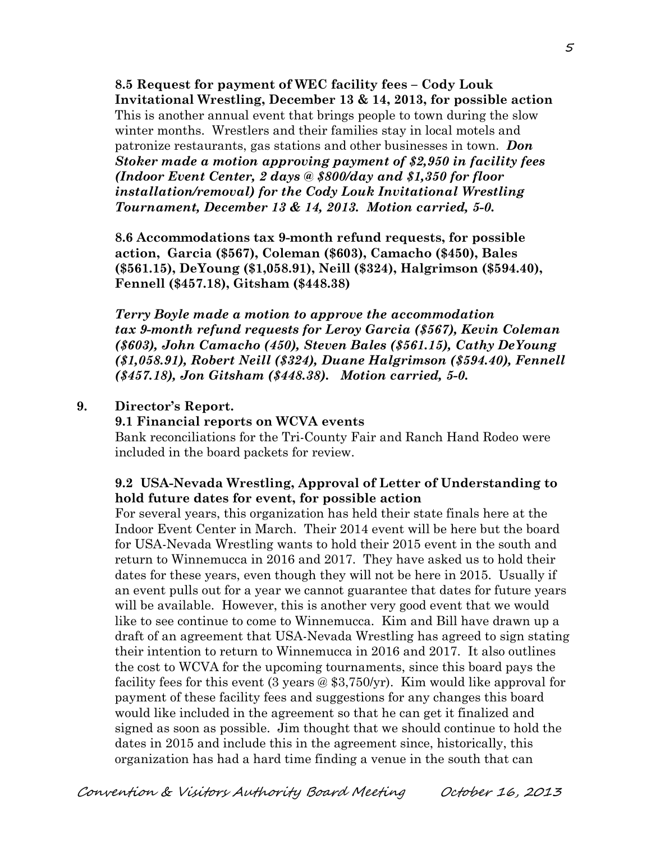**8.5 Request for payment of WEC facility fees – Cody Louk Invitational Wrestling, December 13 & 14, 2013, for possible action** This is another annual event that brings people to town during the slow winter months. Wrestlers and their families stay in local motels and patronize restaurants, gas stations and other businesses in town. *Don Stoker made a motion approving payment of \$2,950 in facility fees (Indoor Event Center, 2 days @ \$800/day and \$1,350 for floor installation/removal) for the Cody Louk Invitational Wrestling Tournament, December 13 & 14, 2013. Motion carried, 5-0.* 

**8.6 Accommodations tax 9-month refund requests, for possible action, Garcia (\$567), Coleman (\$603), Camacho (\$450), Bales (\$561.15), DeYoung (\$1,058.91), Neill (\$324), Halgrimson (\$594.40), Fennell (\$457.18), Gitsham (\$448.38)**

*Terry Boyle made a motion to approve the accommodation tax 9-month refund requests for Leroy Garcia (\$567), Kevin Coleman (\$603), John Camacho (450), Steven Bales (\$561.15), Cathy DeYoung (\$1,058.91), Robert Neill (\$324), Duane Halgrimson (\$594.40), Fennell (\$457.18), Jon Gitsham (\$448.38). Motion carried, 5-0.* 

#### **9. Director's Report.**

#### **9.1 Financial reports on WCVA events**

Bank reconciliations for the Tri-County Fair and Ranch Hand Rodeo were included in the board packets for review.

# **9.2 USA-Nevada Wrestling, Approval of Letter of Understanding to hold future dates for event, for possible action**

For several years, this organization has held their state finals here at the Indoor Event Center in March. Their 2014 event will be here but the board for USA-Nevada Wrestling wants to hold their 2015 event in the south and return to Winnemucca in 2016 and 2017. They have asked us to hold their dates for these years, even though they will not be here in 2015. Usually if an event pulls out for a year we cannot guarantee that dates for future years will be available. However, this is another very good event that we would like to see continue to come to Winnemucca. Kim and Bill have drawn up a draft of an agreement that USA-Nevada Wrestling has agreed to sign stating their intention to return to Winnemucca in 2016 and 2017. It also outlines the cost to WCVA for the upcoming tournaments, since this board pays the facility fees for this event (3 years @ \$3,750/yr). Kim would like approval for payment of these facility fees and suggestions for any changes this board would like included in the agreement so that he can get it finalized and signed as soon as possible. Jim thought that we should continue to hold the dates in 2015 and include this in the agreement since, historically, this organization has had a hard time finding a venue in the south that can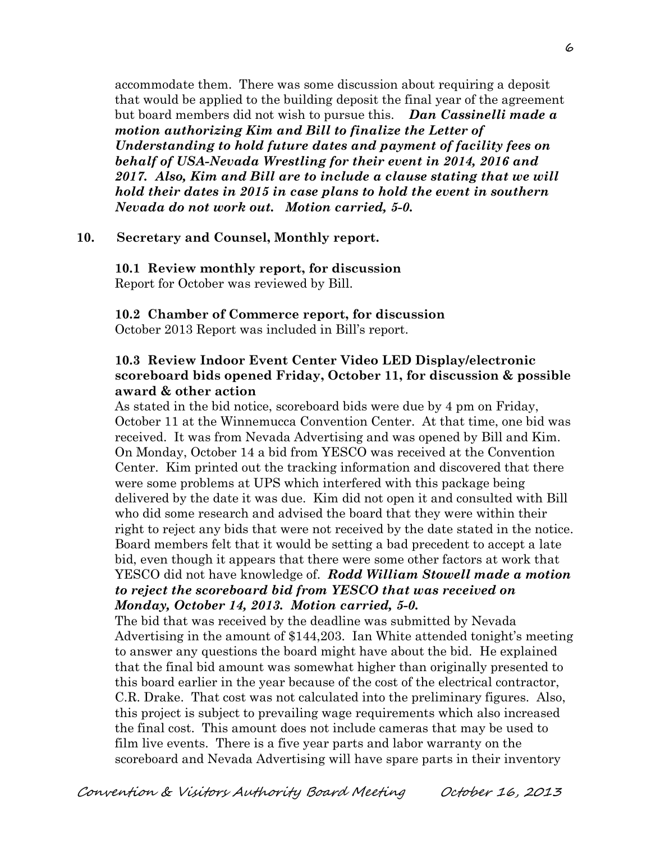accommodate them. There was some discussion about requiring a deposit that would be applied to the building deposit the final year of the agreement but board members did not wish to pursue this. *Dan Cassinelli made a motion authorizing Kim and Bill to finalize the Letter of Understanding to hold future dates and payment of facility fees on behalf of USA-Nevada Wrestling for their event in 2014, 2016 and 2017. Also, Kim and Bill are to include a clause stating that we will hold their dates in 2015 in case plans to hold the event in southern Nevada do not work out. Motion carried, 5-0.* 

#### **10. Secretary and Counsel, Monthly report.**

**10.1 Review monthly report, for discussion** Report for October was reviewed by Bill.

#### **10.2 Chamber of Commerce report, for discussion** October 2013 Report was included in Bill's report.

# **10.3 Review Indoor Event Center Video LED Display/electronic scoreboard bids opened Friday, October 11, for discussion & possible award & other action**

As stated in the bid notice, scoreboard bids were due by 4 pm on Friday, October 11 at the Winnemucca Convention Center. At that time, one bid was received. It was from Nevada Advertising and was opened by Bill and Kim. On Monday, October 14 a bid from YESCO was received at the Convention Center. Kim printed out the tracking information and discovered that there were some problems at UPS which interfered with this package being delivered by the date it was due. Kim did not open it and consulted with Bill who did some research and advised the board that they were within their right to reject any bids that were not received by the date stated in the notice. Board members felt that it would be setting a bad precedent to accept a late bid, even though it appears that there were some other factors at work that YESCO did not have knowledge of. *Rodd William Stowell made a motion to reject the scoreboard bid from YESCO that was received on Monday, October 14, 2013. Motion carried, 5-0.* 

The bid that was received by the deadline was submitted by Nevada Advertising in the amount of \$144,203. Ian White attended tonight's meeting to answer any questions the board might have about the bid. He explained that the final bid amount was somewhat higher than originally presented to this board earlier in the year because of the cost of the electrical contractor, C.R. Drake. That cost was not calculated into the preliminary figures. Also, this project is subject to prevailing wage requirements which also increased the final cost. This amount does not include cameras that may be used to film live events. There is a five year parts and labor warranty on the scoreboard and Nevada Advertising will have spare parts in their inventory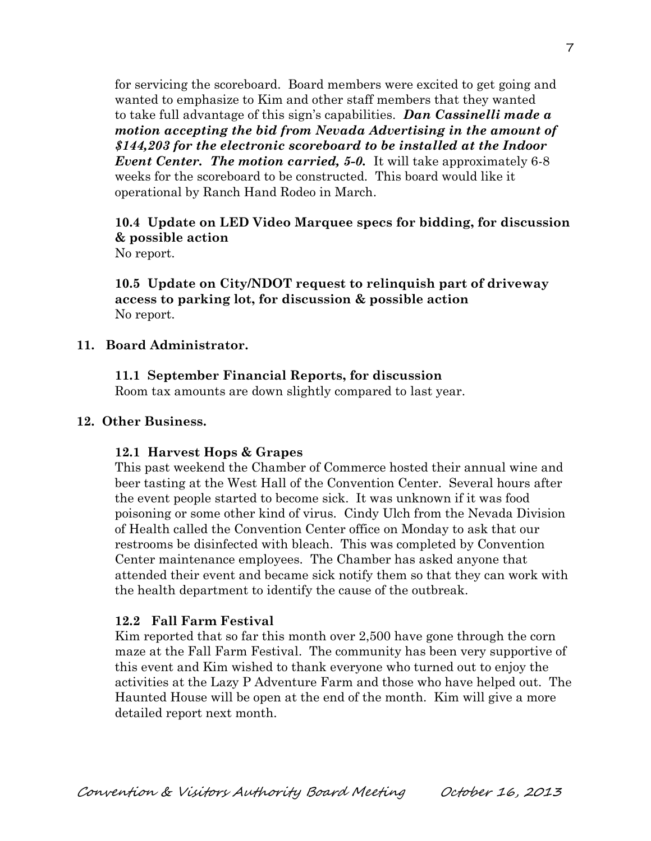for servicing the scoreboard. Board members were excited to get going and wanted to emphasize to Kim and other staff members that they wanted to take full advantage of this sign's capabilities. *Dan Cassinelli made a motion accepting the bid from Nevada Advertising in the amount of \$144,203 for the electronic scoreboard to be installed at the Indoor Event Center. The motion carried, 5-0.* It will take approximately 6-8 weeks for the scoreboard to be constructed. This board would like it operational by Ranch Hand Rodeo in March.

# **10.4 Update on LED Video Marquee specs for bidding, for discussion & possible action**

No report.

**10.5 Update on City/NDOT request to relinquish part of driveway access to parking lot, for discussion & possible action** No report.

# **11. Board Administrator.**

# **11.1 September Financial Reports, for discussion**

Room tax amounts are down slightly compared to last year.

#### **12. Other Business.**

# **12.1 Harvest Hops & Grapes**

This past weekend the Chamber of Commerce hosted their annual wine and beer tasting at the West Hall of the Convention Center. Several hours after the event people started to become sick. It was unknown if it was food poisoning or some other kind of virus. Cindy Ulch from the Nevada Division of Health called the Convention Center office on Monday to ask that our restrooms be disinfected with bleach. This was completed by Convention Center maintenance employees. The Chamber has asked anyone that attended their event and became sick notify them so that they can work with the health department to identify the cause of the outbreak.

# **12.2 Fall Farm Festival**

Kim reported that so far this month over 2,500 have gone through the corn maze at the Fall Farm Festival. The community has been very supportive of this event and Kim wished to thank everyone who turned out to enjoy the activities at the Lazy P Adventure Farm and those who have helped out. The Haunted House will be open at the end of the month. Kim will give a more detailed report next month.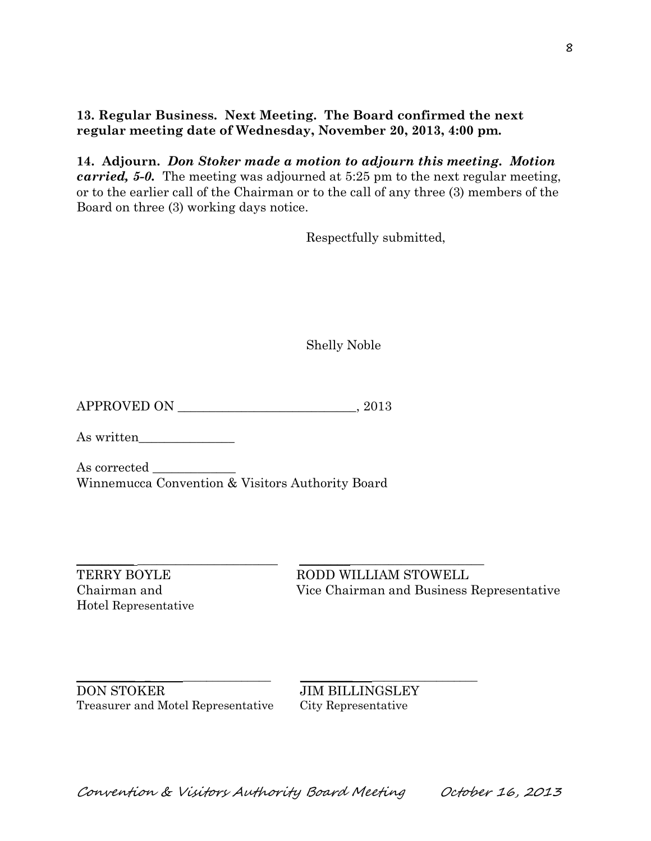**13. Regular Business. Next Meeting. The Board confirmed the next regular meeting date of Wednesday, November 20, 2013, 4:00 pm.** 

**14. Adjourn.** *Don Stoker made a motion to adjourn this meeting. Motion carried, 5-0.* The meeting was adjourned at 5:25 pm to the next regular meeting, or to the earlier call of the Chairman or to the call of any three (3) members of the Board on three (3) working days notice.

Respectfully submitted,

Shelly Noble

APPROVED ON \_\_\_\_\_\_\_\_\_\_\_\_\_\_\_\_\_\_\_\_\_\_\_\_\_\_\_\_, 2013

As written\_\_\_\_\_\_\_\_\_\_\_\_\_\_\_

As corrected \_\_\_\_\_\_\_\_\_\_\_\_\_ Winnemucca Convention & Visitors Authority Board

Hotel Representative

 $\_$  ,  $\_$  ,  $\_$  ,  $\_$  ,  $\_$  ,  $\_$  ,  $\_$  ,  $\_$  ,  $\_$  ,  $\_$  ,  $\_$  ,  $\_$  ,  $\_$  ,  $\_$  ,  $\_$  ,  $\_$  ,  $\_$  ,  $\_$  ,  $\_$  ,  $\_$  ,  $\_$  ,  $\_$  ,  $\_$  ,  $\_$  ,  $\_$  ,  $\_$  ,  $\_$  ,  $\_$  ,  $\_$  ,  $\_$  ,  $\_$  ,  $\_$  ,  $\_$  ,  $\_$  ,  $\_$  ,  $\_$  ,  $\_$  , TERRY BOYLE RODD WILLIAM STOWELL Chairman and Vice Chairman and Business Representative

\_\_\_\_\_\_\_\_\_\_ \_ \_\_\_\_\_\_\_\_\_\_\_\_\_\_\_ \_\_\_\_\_\_\_\_\_ \_\_\_\_\_\_\_\_\_\_\_\_\_\_\_\_\_\_ DON STOKER JIM BILLINGSLEY Treasurer and Motel Representative City Representative